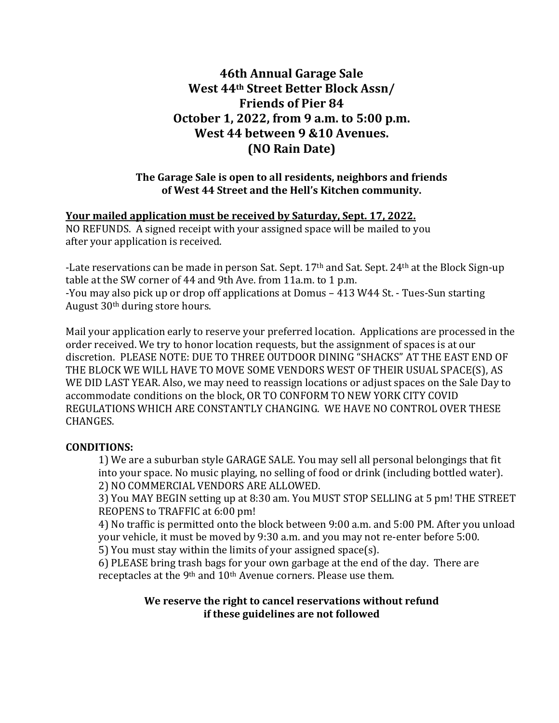# **46th Annual Garage Sale West 44th Street Better Block Assn/ Friends of Pier 84 October 1, 2022, from 9 a.m. to 5:00 p.m. West 44 between 9 &10 Avenues. (NO Rain Date)**

# **The Garage Sale is open to all residents, neighbors and friends of West 44 Street and the Hell's Kitchen community.**

# **Your mailed application must be received by Saturday, Sept. 17, 2022.**

NO REFUNDS. A signed receipt with your assigned space will be mailed to you after your application is received.

-Late reservations can be made in person Sat. Sept. 17<sup>th</sup> and Sat. Sept. 24<sup>th</sup> at the Block Sign-up table at the SW corner of 44 and 9th Ave. from 11a.m. to 1 p.m. -You may also pick up or drop off applications at Domus – 413 W44 St. - Tues-Sun starting August 30th during store hours.

Mail your application early to reserve your preferred location. Applications are processed in the order received. We try to honor location requests, but the assignment of spaces is at our discretion. PLEASE NOTE: DUE TO THREE OUTDOOR DINING "SHACKS" AT THE EAST END OF THE BLOCK WE WILL HAVE TO MOVE SOME VENDORS WEST OF THEIR USUAL SPACE(S), AS WE DID LAST YEAR. Also, we may need to reassign locations or adjust spaces on the Sale Day to accommodate conditions on the block, OR TO CONFORM TO NEW YORK CITY COVID REGULATIONS WHICH ARE CONSTANTLY CHANGING. WE HAVE NO CONTROL OVER THESE CHANGES.

### **CONDITIONS:**

1) We are a suburban style GARAGE SALE. You may sell all personal belongings that fit into your space. No music playing, no selling of food or drink (including bottled water). 2) NO COMMERCIAL VENDORS ARE ALLOWED.

3) You MAY BEGIN setting up at 8:30 am. You MUST STOP SELLING at 5 pm! THE STREET REOPENS to TRAFFIC at 6:00 pm!

4) No traffic is permitted onto the block between 9:00 a.m. and 5:00 PM. After you unload your vehicle, it must be moved by 9:30 a.m. and you may not re-enter before 5:00.

5) You must stay within the limits of your assigned space(s).

6) PLEASE bring trash bags for your own garbage at the end of the day. There are receptacles at the 9<sup>th</sup> and 10<sup>th</sup> Avenue corners. Please use them.

### **We reserve the right to cancel reservations without refund if these guidelines are not followed**